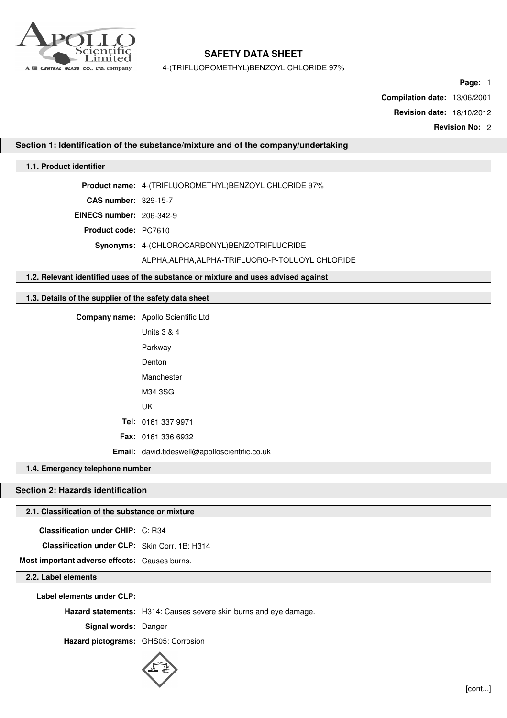

4-(TRIFLUOROMETHYL)BENZOYL CHLORIDE 97%

**Page:** 1

**Compilation date:** 13/06/2001

**Revision date:** 18/10/2012

**Revision No:** 2

## **Section 1: Identification of the substance/mixture and of the company/undertaking**

## **1.1. Product identifier**

**Product name:** 4-(TRIFLUOROMETHYL)BENZOYL CHLORIDE 97%

**CAS number:** 329-15-7

**EINECS number:** 206-342-9

**Product code:** PC7610

**Synonyms:** 4-(CHLOROCARBONYL)BENZOTRIFLUORIDE

### ALPHA,ALPHA,ALPHA-TRIFLUORO-P-TOLUOYL CHLORIDE

**1.2. Relevant identified uses of the substance or mixture and uses advised against**

# **1.3. Details of the supplier of the safety data sheet**

**Company name:** Apollo Scientific Ltd Units 3 & 4 Parkway Denton Manchester M34 3SG UK **Tel:** 0161 337 9971 **Fax:** 0161 336 6932 **Email:** david.tideswell@apolloscientific.co.uk

### **1.4. Emergency telephone number**

## **Section 2: Hazards identification**

## **2.1. Classification of the substance or mixture**

**Classification under CHIP:** C: R34

**Classification under CLP:** Skin Corr. 1B: H314

**Most important adverse effects:** Causes burns.

## **2.2. Label elements**

**Label elements under CLP:**

**Hazard statements:** H314: Causes severe skin burns and eye damage.

**Signal words:** Danger

**Hazard pictograms:** GHS05: Corrosion

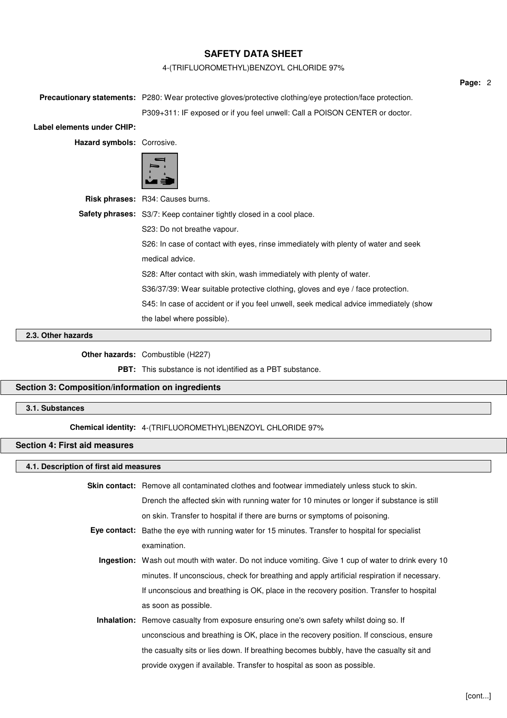# 4-(TRIFLUOROMETHYL)BENZOYL CHLORIDE 97%

|                                                                                                                   | Page: 2 |
|-------------------------------------------------------------------------------------------------------------------|---------|
| <b>Precautionary statements:</b> P280: Wear protective gloves/protective clothing/eye protection/face protection. |         |
| P309+311: IF exposed or if you feel unwell: Call a POISON CENTER or doctor.                                       |         |
|                                                                                                                   |         |
| Hazard symbols: Corrosive.                                                                                        |         |
|                                                                                                                   |         |
| <b>Risk phrases:</b> R34: Causes burns.                                                                           |         |
| <b>Safety phrases:</b> S3/7: Keep container tightly closed in a cool place.<br>S23: Do not breathe vapour.        |         |
|                                                                                                                   |         |
| medical advice.                                                                                                   |         |
| S28: After contact with skin, wash immediately with plenty of water.                                              |         |
| S36/37/39: Wear suitable protective clothing, gloves and eye / face protection.                                   |         |
| S45: In case of accident or if you feel unwell, seek medical advice immediately (show                             |         |
| the label where possible).                                                                                        |         |
|                                                                                                                   |         |

### **2.3. Other hazards**

**Other hazards:** Combustible (H227)

**PBT:** This substance is not identified as a PBT substance.

## **Section 3: Composition/information on ingredients**

## **3.1. Substances**

**Chemical identity:** 4-(TRIFLUOROMETHYL)BENZOYL CHLORIDE 97%

# **Section 4: First aid measures**

#### **4.1. Description of first aid measures**

| Skin contact: Remove all contaminated clothes and footwear immediately unless stuck to skin. |
|----------------------------------------------------------------------------------------------|
| Drench the affected skin with running water for 10 minutes or longer if substance is still   |
| on skin. Transfer to hospital if there are burns or symptoms of poisoning.                   |

- **Eye contact:** Bathe the eye with running water for 15 minutes. Transfer to hospital for specialist examination.
	- **Ingestion:** Wash out mouth with water. Do not induce vomiting. Give 1 cup of water to drink every 10 minutes. If unconscious, check for breathing and apply artificial respiration if necessary. If unconscious and breathing is OK, place in the recovery position. Transfer to hospital as soon as possible.
	- **Inhalation:** Remove casualty from exposure ensuring one's own safety whilst doing so. If unconscious and breathing is OK, place in the recovery position. If conscious, ensure the casualty sits or lies down. If breathing becomes bubbly, have the casualty sit and provide oxygen if available. Transfer to hospital as soon as possible.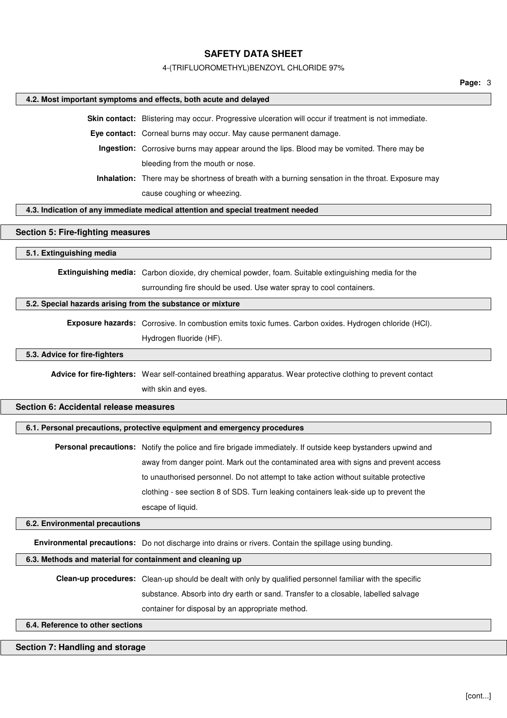### 4-(TRIFLUOROMETHYL)BENZOYL CHLORIDE 97%

### **4.2. Most important symptoms and effects, both acute and delayed**

**Skin contact:** Blistering may occur. Progressive ulceration will occur if treatment is not immediate.

**Eye contact:** Corneal burns may occur. May cause permanent damage.

**Ingestion:** Corrosive burns may appear around the lips. Blood may be vomited. There may be bleeding from the mouth or nose.

**Inhalation:** There may be shortness of breath with a burning sensation in the throat. Exposure may cause coughing or wheezing.

## **4.3. Indication of any immediate medical attention and special treatment needed**

### **Section 5: Fire-fighting measures**

#### **5.1. Extinguishing media**

**Extinguishing media:** Carbon dioxide, dry chemical powder, foam. Suitable extinguishing media for the surrounding fire should be used. Use water spray to cool containers.

### **5.2. Special hazards arising from the substance or mixture**

**Exposure hazards:** Corrosive. In combustion emits toxic fumes. Carbon oxides. Hydrogen chloride (HCl). Hydrogen fluoride (HF).

## **5.3. Advice for fire-fighters**

**Advice for fire-fighters:** Wear self-contained breathing apparatus. Wear protective clothing to prevent contact with skin and eyes.

## **Section 6: Accidental release measures**

#### **6.1. Personal precautions, protective equipment and emergency procedures**

**Personal precautions:** Notify the police and fire brigade immediately. If outside keep bystanders upwind and away from danger point. Mark out the contaminated area with signs and prevent access to unauthorised personnel. Do not attempt to take action without suitable protective clothing - see section 8 of SDS. Turn leaking containers leak-side up to prevent the escape of liquid.

#### **6.2. Environmental precautions**

**Environmental precautions:** Do not discharge into drains or rivers. Contain the spillage using bunding.

### **6.3. Methods and material for containment and cleaning up**

**Clean-up procedures:** Clean-up should be dealt with only by qualified personnel familiar with the specific substance. Absorb into dry earth or sand. Transfer to a closable, labelled salvage container for disposal by an appropriate method.

#### **6.4. Reference to other sections**

## **Section 7: Handling and storage**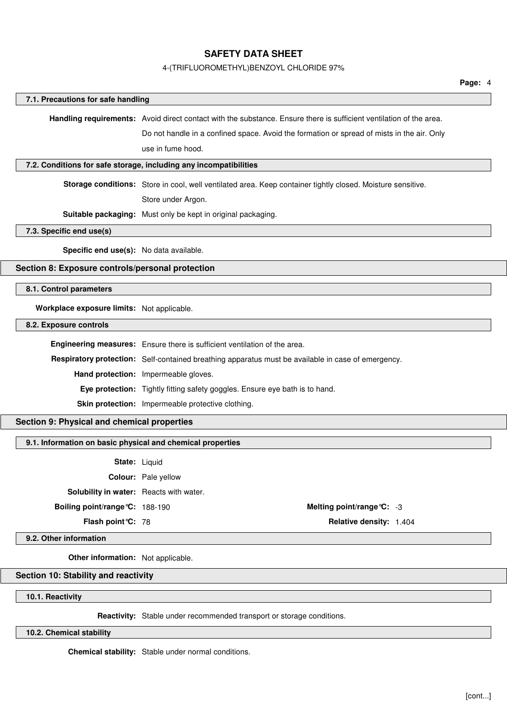# 4-(TRIFLUOROMETHYL)BENZOYL CHLORIDE 97%

|                                                            |                                                                                                                     | Page: 4 |  |
|------------------------------------------------------------|---------------------------------------------------------------------------------------------------------------------|---------|--|
| 7.1. Precautions for safe handling                         |                                                                                                                     |         |  |
|                                                            | Handling requirements: Avoid direct contact with the substance. Ensure there is sufficient ventilation of the area. |         |  |
|                                                            | Do not handle in a confined space. Avoid the formation or spread of mists in the air. Only                          |         |  |
|                                                            | use in fume hood.                                                                                                   |         |  |
|                                                            | 7.2. Conditions for safe storage, including any incompatibilities                                                   |         |  |
|                                                            |                                                                                                                     |         |  |
|                                                            | Storage conditions: Store in cool, well ventilated area. Keep container tightly closed. Moisture sensitive.         |         |  |
|                                                            | Store under Argon.                                                                                                  |         |  |
|                                                            | Suitable packaging: Must only be kept in original packaging.                                                        |         |  |
| 7.3. Specific end use(s)                                   |                                                                                                                     |         |  |
| Specific end use(s): No data available.                    |                                                                                                                     |         |  |
| Section 8: Exposure controls/personal protection           |                                                                                                                     |         |  |
| 8.1. Control parameters                                    |                                                                                                                     |         |  |
|                                                            |                                                                                                                     |         |  |
| Workplace exposure limits: Not applicable.                 |                                                                                                                     |         |  |
| 8.2. Exposure controls                                     |                                                                                                                     |         |  |
|                                                            | Engineering measures: Ensure there is sufficient ventilation of the area.                                           |         |  |
|                                                            | Respiratory protection: Self-contained breathing apparatus must be available in case of emergency.                  |         |  |
|                                                            | Hand protection: Impermeable gloves.                                                                                |         |  |
|                                                            | Eye protection: Tightly fitting safety goggles. Ensure eye bath is to hand.                                         |         |  |
|                                                            | Skin protection: Impermeable protective clothing.                                                                   |         |  |
| Section 9: Physical and chemical properties                |                                                                                                                     |         |  |
|                                                            |                                                                                                                     |         |  |
| 9.1. Information on basic physical and chemical properties |                                                                                                                     |         |  |
|                                                            | State: Liquid                                                                                                       |         |  |
|                                                            | Colour: Pale yellow                                                                                                 |         |  |
| Solubility in water: Reacts with water.                    |                                                                                                                     |         |  |
| Boiling point/range °C: 188-190                            | Melting point/range °C: -3                                                                                          |         |  |
| Flash point °C: 78                                         | Relative density: 1.404                                                                                             |         |  |
| 9.2. Other information                                     |                                                                                                                     |         |  |
| Other information: Not applicable.                         |                                                                                                                     |         |  |
| Section 10: Stability and reactivity                       |                                                                                                                     |         |  |
|                                                            |                                                                                                                     |         |  |
| 10.1. Reactivity                                           |                                                                                                                     |         |  |
|                                                            | Reactivity: Stable under recommended transport or storage conditions.                                               |         |  |
| 10.2. Chemical stability                                   |                                                                                                                     |         |  |

**Chemical stability:** Stable under normal conditions.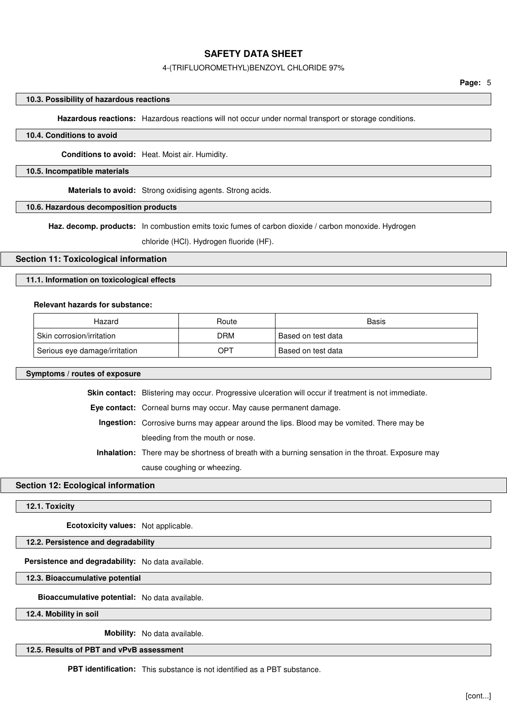### 4-(TRIFLUOROMETHYL)BENZOYL CHLORIDE 97%

## **10.3. Possibility of hazardous reactions**

**Hazardous reactions:** Hazardous reactions will not occur under normal transport or storage conditions.

### **10.4. Conditions to avoid**

**Conditions to avoid:** Heat. Moist air. Humidity.

### **10.5. Incompatible materials**

**Materials to avoid:** Strong oxidising agents. Strong acids.

## **10.6. Hazardous decomposition products**

**Haz. decomp. products:** In combustion emits toxic fumes of carbon dioxide / carbon monoxide. Hydrogen

chloride (HCl). Hydrogen fluoride (HF).

### **Section 11: Toxicological information**

## **11.1. Information on toxicological effects**

### **Relevant hazards for substance:**

| Hazard                        | Route      | Basis                           |
|-------------------------------|------------|---------------------------------|
| Skin corrosion/irritation     | <b>DRM</b> | <sup>।</sup> Based on test data |
| Serious eye damage/irritation | OPT        | <sup>1</sup> Based on test data |

#### **Symptoms / routes of exposure**

**Skin contact:** Blistering may occur. Progressive ulceration will occur if treatment is not immediate.

**Eye contact:** Corneal burns may occur. May cause permanent damage.

**Ingestion:** Corrosive burns may appear around the lips. Blood may be vomited. There may be bleeding from the mouth or nose.

**Inhalation:** There may be shortness of breath with a burning sensation in the throat. Exposure may cause coughing or wheezing.

### **Section 12: Ecological information**

**12.1. Toxicity**

**Ecotoxicity values:** Not applicable.

## **12.2. Persistence and degradability**

**Persistence and degradability:** No data available.

**12.3. Bioaccumulative potential**

**Bioaccumulative potential:** No data available.

**12.4. Mobility in soil**

**Mobility:** No data available.

## **12.5. Results of PBT and vPvB assessment**

**PBT identification:** This substance is not identified as a PBT substance.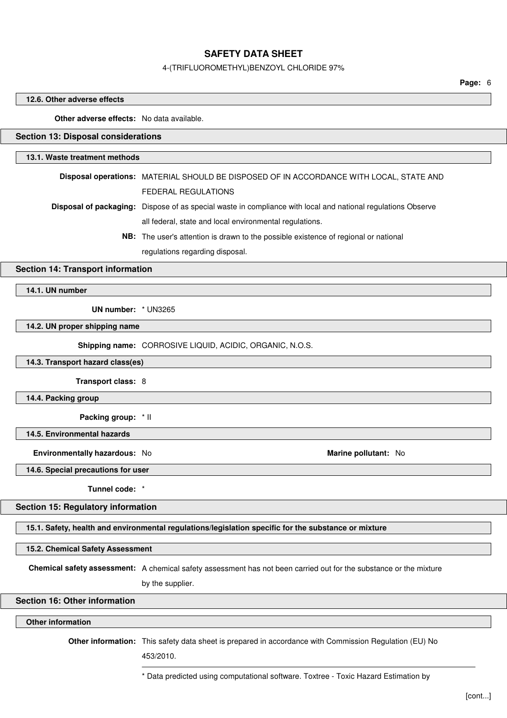#### 4-(TRIFLUOROMETHYL)BENZOYL CHLORIDE 97%

**Page:** 6

### **12.6. Other adverse effects**

**Other adverse effects:** No data available.

## **Section 13: Disposal considerations**

### **13.1. Waste treatment methods**

| Disposal operations: MATERIAL SHOULD BE DISPOSED OF IN ACCORDANCE WITH LOCAL, STATE AND                             |
|---------------------------------------------------------------------------------------------------------------------|
| FEDERAL REGULATIONS                                                                                                 |
| <b>Disposal of packaging:</b> Dispose of as special waste in compliance with local and national regulations Observe |
| all federal, state and local environmental regulations.                                                             |
| <b>NB:</b> The user's attention is drawn to the possible existence of regional or national                          |

regulations regarding disposal.

# **Section 14: Transport information**

**14.1. UN number**

**UN number:** \* UN3265

**14.2. UN proper shipping name**

**Shipping name:** CORROSIVE LIQUID, ACIDIC, ORGANIC, N.O.S.

**14.3. Transport hazard class(es)**

**Transport class:** 8

**14.4. Packing group**

**Packing group:** \* II

**14.5. Environmental hazards**

**Environmentally hazardous:** No **Marine pollutant:** No

**14.6. Special precautions for user**

**Tunnel code:** \*

**Section 15: Regulatory information**

**15.1. Safety, health and environmental regulations/legislation specific for the substance or mixture**

**15.2. Chemical Safety Assessment**

**Chemical safety assessment:** A chemical safety assessment has not been carried out for the substance or the mixture

by the supplier.

## **Section 16: Other information**

## **Other information**

**Other information:** This safety data sheet is prepared in accordance with Commission Regulation (EU) No

453/2010.

\* Data predicted using computational software. Toxtree - Toxic Hazard Estimation by